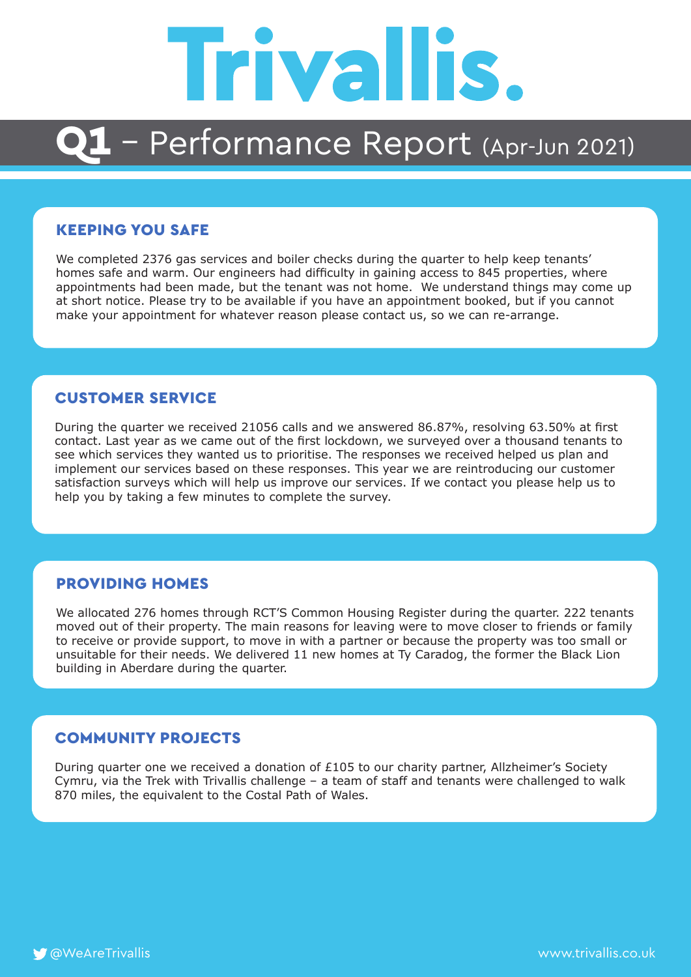# **Trivallis.**

### 1 - Performance Report (Apr-Jun 2021)

#### KEEPING YOU SAFE

We completed 2376 gas services and boiler checks during the quarter to help keep tenants' homes safe and warm. Our engineers had difficulty in gaining access to 845 properties, where appointments had been made, but the tenant was not home. We understand things may come up at short notice. Please try to be available if you have an appointment booked, but if you cannot make your appointment for whatever reason please contact us, so we can re-arrange.

#### CUSTOMER SERVICE

During the quarter we received 21056 calls and we answered 86.87%, resolving 63.50% at first contact. Last year as we came out of the first lockdown, we surveyed over a thousand tenants to see which services they wanted us to prioritise. The responses we received helped us plan and implement our services based on these responses. This year we are reintroducing our customer satisfaction surveys which will help us improve our services. If we contact you please help us to help you by taking a few minutes to complete the survey.

### PROVIDING HOMES

We allocated 276 homes through RCT'S Common Housing Register during the quarter. 222 tenants moved out of their property. The main reasons for leaving were to move closer to friends or family to receive or provide support, to move in with a partner or because the property was too small or unsuitable for their needs. We delivered 11 new homes at Ty Caradog, the former the Black Lion building in Aberdare during the quarter.

### COMMUNITY PROJECTS

During quarter one we received a donation of £105 to our charity partner, Allzheimer's Society Cymru, via the Trek with Trivallis challenge – a team of staff and tenants were challenged to walk 870 miles, the equivalent to the Costal Path of Wales.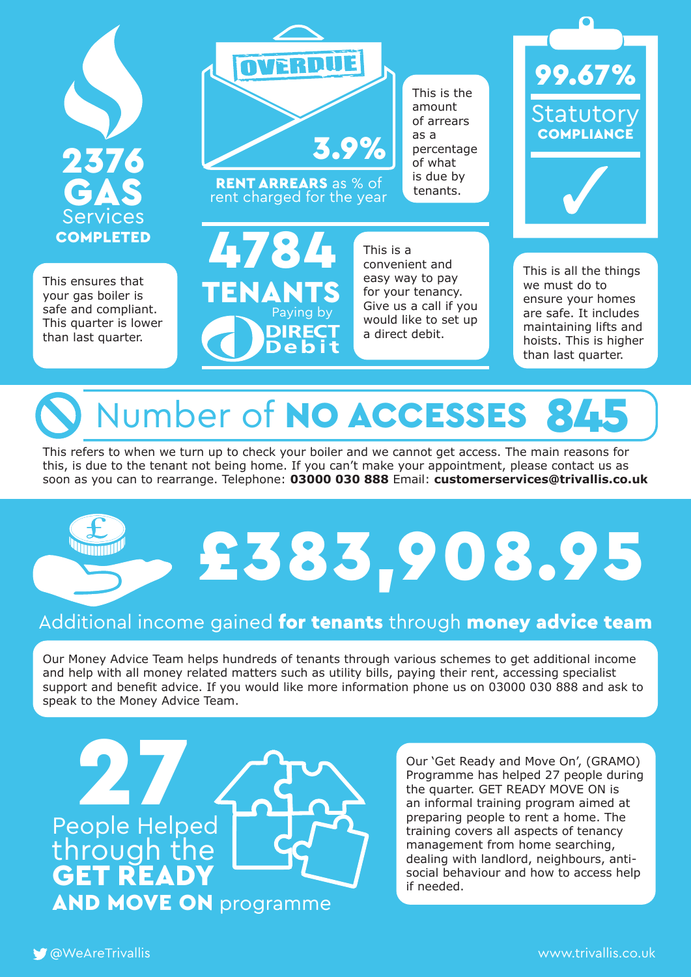

This ensures that your gas boiler is safe and compliant. This quarter is lower than last quarter.



rent charged for the year

**14784** 

TENANTS

Paying by

DIR<mark>ECT</mark><br>Debit

This is the amount of arrears as a percentage of what is due by



This is all the things we must do to ensure your homes are safe. It includes maintaining lifts and hoists. This is higher than last quarter.

### Number of NO ACCESSES

This is a

convenient and easy way to pay for your tenancy. Give us a call if you would like to set up a direct debit.

This refers to when we turn up to check your boiler and we cannot get access. The main reasons for this, is due to the tenant not being home. If you can't make your appointment, please contact us as soon as you can to rearrange. Telephone: **03000 030 888** Email: **customerservices@trivallis.co.uk**

# £383,908.95

### Additional income gained for tenants through money advice team

Our Money Advice Team helps hundreds of tenants through various schemes to get additional income and help with all money related matters such as utility bills, paying their rent, accessing specialist support and benefit advice. If you would like more information phone us on 03000 030 888 and ask to speak to the Money Advice Team.

27 People Helped through the **GET READY** AND MOVE ON programme

Our 'Get Ready and Move On', (GRAMO) Programme has helped 27 people during the quarter. GET READY MOVE ON is an informal training program aimed at preparing people to rent a home. The training covers all aspects of tenancy management from home searching, dealing with landlord, neighbours, antisocial behaviour and how to access help if needed.